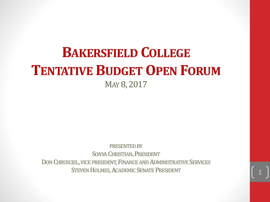### **BAKERSFIELD COLLEGE TENTATIVE BUDGETOPEN FORUM** MAY 8, 2017

PRESENTED BY SONYA CHRISTIAN, PRESIDENT DON CHRUSCIEL, VICE PRESIDENT, FINANCE AND ADMINISTRATIVE SERVICES STEVEN HOLMES, ACADEMIC SENATE PRESIDENT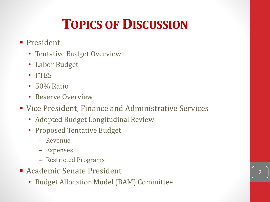# **TOPICS OF DISCUSSION**

- **President** 
	- Tentative Budget Overview
	- Labor Budget
	- FTES
	- 50% Ratio
	- Reserve Overview
- Vice President, Finance and Administrative Services

- Adopted Budget Longitudinal Review
- Proposed Tentative Budget
	- Revenue
	- Expenses
	- Restricted Programs
- **Academic Senate President** 
	- Budget Allocation Model (BAM) Committee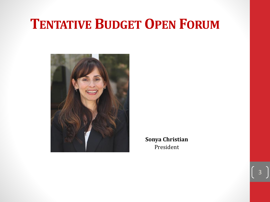#### **TENTATIVE BUDGETOPEN FORUM**



**Sonya Christian** President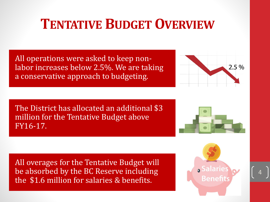## **TENTATIVE BUDGETOVERVIEW**

All operations were asked to keep nonlabor increases below 2.5%. We are taking a conservative approach to budgeting.

The District has allocated an additional \$3 million for the Tentative Budget above FY16-17.

 $2.5%$ 

All overages for the Tentative Budget will be absorbed by the BC Reserve including the \$1.6 million for salaries & benefits.



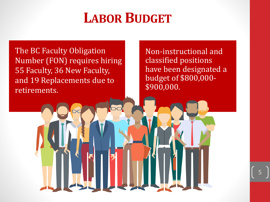#### **LABOR BUDGET**

The BC Faculty Obligation Number (FON) requires hiring 55 Faculty, 36 New Faculty, and 19 Replacements due to retirements.

Non-instructional and classified positions have been designated a budget of \$800,000- \$900,000.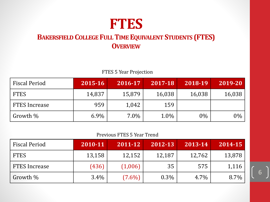## **FTES**

#### **BAKERSFIELD COLLEGE FULLTIME EQUIVALENT STUDENTS (FTES) OVERVIEW**

#### FTES 5 Year Projection

| <b>Fiscal Period</b> | 2015-16 | 2016-17 | 2017-18 | 2018-19 | 2019-20 |
|----------------------|---------|---------|---------|---------|---------|
| <b>FTES</b>          | 14,837  | 15,879  | 16,038  | 16,038  | 16,038  |
| <b>FTES Increase</b> | 959     | 1,042   | 159     |         |         |
| Growth %             | $6.9\%$ | $7.0\%$ | 1.0%    | $0\%$   | $0\%$   |

#### Previous FTES 5 Year Trend

| <b>Fiscal Period</b> | 2010-11 | $ 2011 - 12 $ | 2012-13 | 2013-14 | 2014-15 |
|----------------------|---------|---------------|---------|---------|---------|
| <b>FTES</b>          | 13,158  | 12,152        | 12,187  | 12,762  | 13,878  |
| <b>FTES Increase</b> | (436)   | (1,006)       | 35      | 575     | 1,116   |
| Growth %             | $3.4\%$ | $(7.6\%)$     | $0.3\%$ | 4.7%    | 8.7%    |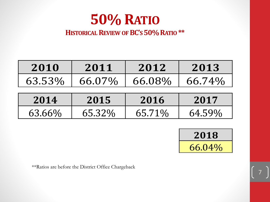

#### **HISTORICALREVIEW OFBC'S50% RATIO \*\***

| 2010   | 2011   | 2012   | 2013   |
|--------|--------|--------|--------|
| 63.53% | 66.07% | 66.08% | 66.74% |
| 2014   | 2015   | 2016   | 2017   |
| 63.66% | 65.32% | 65.71% | 64.59% |



7

\*\*Ratios are before the District Office Chargeback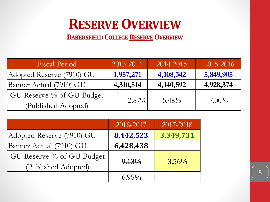# **RESERVE OVERVIEW**

**BAKERSFIELD COLLEGERESERVEOVERVIEW**

| <b>Fiscal Period</b>      | 2013-2014 | 2014-2015   | 2015-2016 |
|---------------------------|-----------|-------------|-----------|
| Adopted Reserve (7910) GU | 1,957,271 | 4, 108, 342 | 5,849,905 |
| Banner Actual (7910) GU   | 4,310,514 | 4, 140, 592 | 4,928,374 |
| GU Reserve % of GU Budget |           |             |           |
| (Published Adopted)       | $2.87\%$  | $5.48\%$    | $7.00\%$  |

|                           | 2016-2017 | 2017-2018 |
|---------------------------|-----------|-----------|
| Adopted Reserve (7910) GU | 8,442,523 | 3,349,731 |
| Banner Actual (7910) GU   | 6,428,438 |           |
| GU Reserve % of GU Budget |           |           |
| (Published Adopted)       | 9.13%     | $3.56\%$  |
|                           | 6.95%     |           |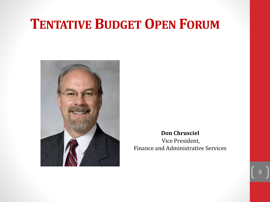#### **TENTATIVE BUDGETOPEN FORUM**



**Don Chrusciel** Vice President,

Finance and Administrative Services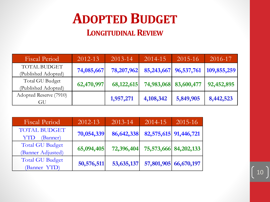# **ADOPTED BUDGET**

#### **LONGITUDINALREVIEW**

| <b>Fiscal Period</b>   | $2012 - 13$ | $2013 - 14$ | 2014-15   | $2015 - 16$               | 2016-17     |
|------------------------|-------------|-------------|-----------|---------------------------|-------------|
| <b>TOTAL BUDGET</b>    | 74,085,667  | 78,207,962  |           | 85, 243, 667 96, 537, 761 | 109,855,259 |
| (Published Adopted)    |             |             |           |                           |             |
| Total GU Budget        | 62,470,997  | 68,122,615  |           | 74,983,068 83,600,477     |             |
| (Published Adopted)    |             |             |           |                           | 92,452,895  |
| Adopted Reserve (7910) |             |             |           |                           |             |
| GU                     |             | 1,957,271   | 4,108,342 | 5,849,905                 | 8,442,523   |

| Fiscal Period                                 | 2012-13    | 2013-14      | 2014-15 | 2015-16               |
|-----------------------------------------------|------------|--------------|---------|-----------------------|
| <b>TOTAL BUDGET</b><br><b>YTD</b><br>(Banner) | 70,054,339 | 86,642,338   |         | 82,575,615 91,446,721 |
| <b>Total GU Budget</b><br>(Banner Adjusted)   | 65,094,405 | 72,396,404   |         | 75,573,666 84,202,133 |
| <b>Total GU Budget</b><br>(Banner YTD)        | 50,576,511 | 53, 635, 137 |         | 57,801,905 66,670,197 |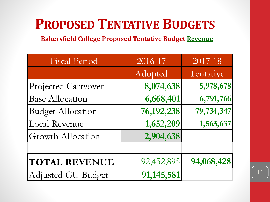## **PROPOSED TENTATIVE BUDGETS**

**Bakersfield College Proposed Tentative Budget Revenue**

| <b>Fiscal Period</b>      | 2016-17    | 2017-18    |
|---------------------------|------------|------------|
|                           | Adopted    | Tentative  |
| Projected Carryover       | 8,074,638  | 5,978,678  |
| <b>Base Allocation</b>    | 6,668,401  | 6,791,766  |
| <b>Budget Allocation</b>  | 76,192,238 | 79,734,347 |
| Local Revenue             | 1,652,209  | 1,563,637  |
| <b>Growth Allocation</b>  | 2,904,638  |            |
|                           |            |            |
| <b>TOTAL REVENUE</b>      | 92,452,895 | 94,068,428 |
| <b>Adjusted GU Budget</b> | 91,145,581 |            |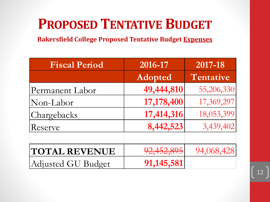# **PROPOSED TENTATIVE BUDGET**

**Bakersfield College Proposed Tentative Budget Expenses**

| <b>Fiscal Period</b> | 2016-17    | 2017-18    |
|----------------------|------------|------------|
|                      | Adopted    | Tentative  |
| Permanent Labor      | 49,444,810 | 55,206,330 |
| Non-Labor            | 17,178,400 | 17,369,297 |
| Chargebacks          | 17,414,316 | 18,053,399 |
| Reserve              | 8,442,523  | 3,439,402  |
|                      |            |            |
| <b>TOTAL REVENUE</b> | 92,452,895 | 94,068,428 |
| Adjusted GU Budget   | 91,145,581 |            |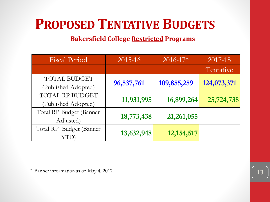## **PROPOSED TENTATIVE BUDGETS**

#### **Bakersfield College Restricted Programs**

| <b>Fiscal Period</b>    | 2015-16    | $2016 - 17*$ | 2017-18     |
|-------------------------|------------|--------------|-------------|
|                         |            |              | Tentative   |
| <b>TOTAL BUDGET</b>     | 96,537,761 | 109,855,259  | 124,073,371 |
| (Published Adopted)     |            |              |             |
| TOTAL RP BUDGET         |            |              |             |
| (Published Adopted)     | 11,931,995 | 16,899,264   | 25,724,738  |
| Total RP Budget (Banner |            |              |             |
| Adjusted)               | 18,773,438 | 21,261,055   |             |
| Total RP Budget (Banner |            |              |             |
|                         | 13,632,948 | 12, 154, 517 |             |

\* Banner information as of May 4, 2017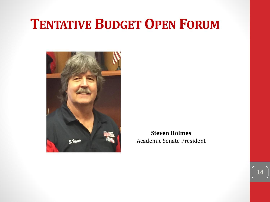#### **TENTATIVE BUDGETOPEN FORUM**



**Steven Holmes** Academic Senate President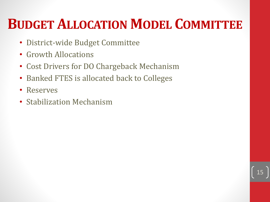# **BUDGET ALLOCATION MODEL COMMITTEE**

- District-wide Budget Committee
- Growth Allocations
- Cost Drivers for DO Chargeback Mechanism
- Banked FTES is allocated back to Colleges
- Reserves
- Stabilization Mechanism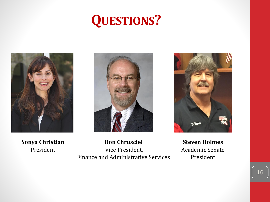# **QUESTIONS?**



**Sonya Christian** President



**Don Chrusciel** Vice President, Finance and Administrative Services

**Steven Holmes** Academic Senate President